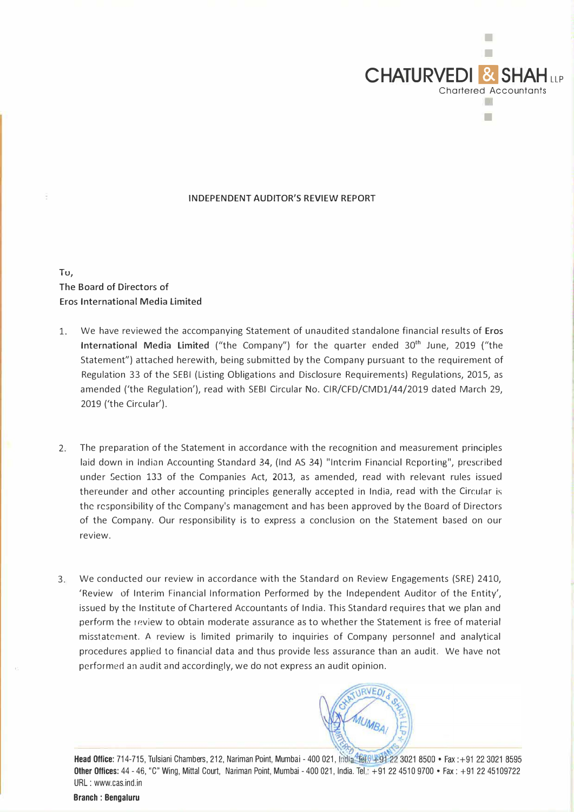

## **INDEPENDENT AUDITOR'S REVIEW REPORT**

## **Tu, The Board of Directors of Eros International Media Limited**

- 1. We have reviewed the accompanying Statement of unaudited standalone financial results of **Eros International Media Limited** ("the Company") for the quarter ended 30**th** June, 2019 ("the Statement") attached herewith, being submitted by the Company pursuant to the requirement of Regulation 33 of the SEBI (Listing Obligations and Disclosure Requirements) Regulations, 2015, as amended ('the Regulation'), read with SEBI Circular No. CIR/CFD/CMD1/44/2019 dated March 29, 2019 ('the Circular').
- 2. The preparation of the Statement in accordance with the recognition and measurement principles laid down in Indian Accounting Standard 34, (Ind AS 34) "Interim Financial Reporting", prescribed under �ection 133 of the Companies Act, 2013, as amended, read with relevant rules issued thereunder and other accounting principles generally accepted in India, read with the Circular is the responsibility of the Company's management and has been approved by the Board of Directors of the Company. Our responsibility is to express a conclusion on the Statement based on our review.
- 3. We conducted our review in accordance with the Standard on Review Engagements (SRE) 2410, 'Review of Interim Financial Information Performed by the Independent Auditor of the Entity', issued by the Institute of Chartered Accountants of India. This Standard requires that we plan and perform the review to obtain moderate assurance as to whether the Statement is free of material misstatement. A review is limited primarily to inquiries of Company personnel and analytical procedures applied to financial data and thus provide less assurance than an audit. We have not performed an audit and accordingly, we do not express an audit opinion.

**Head Office:** 714-715, Tulsiani Chambers, 212, Nariman Point, Mumbai - 400 021, India **Other Offices:** 44 -46, "C" Wing, Mittal Court, Nariman Point, Mumbai -400 021, India. Tel.: +91 22 4510 9700 • Fax: +91 22 45109722 URL : www.cas.ind.in

**Branch : Bengaluru**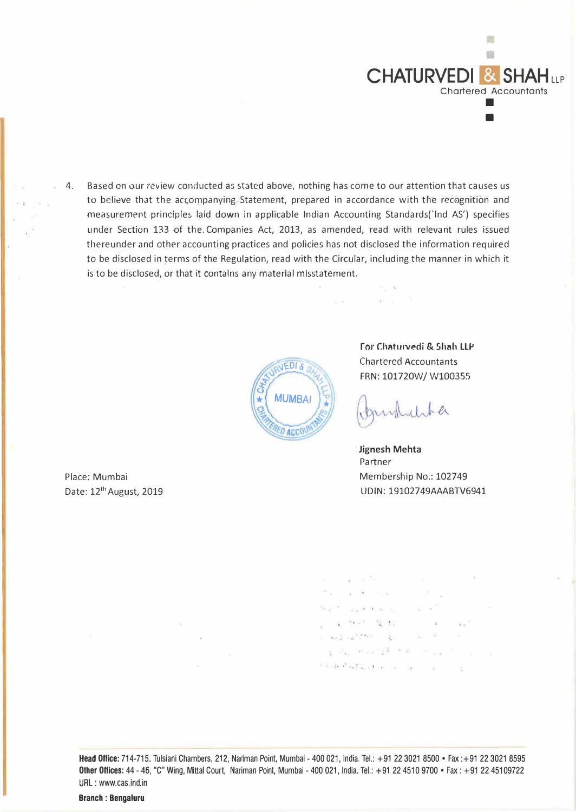

4. Based on our review conducted as stated above, nothing has come to our attention that causes us to believe that the accompanying Statement, prepared in accordance with the recognition and measurement principle5 laid down in applicable Indian Accounting Standards('lnd AS') specifies under Section 133 of the Companies Act, 2013, as amended, read with relevant rules issued thereunder and other accounting practices and policies has not disclosed the information required to be disclosed in terms of the Regulation, read with the Circular, including the manner in which it is to be disclosed, or that it contains any material misstatement.



**For Chaturvedi & Shah LLP** Chartcred Accountants FRN: 101720W/ W100355

publichter

300 million 19

5.6.1

**Jignesh Mehta**  Partner Membership No.: 102749 UDIN: 19102749AAABTV6941

ville group for the  $17 - 16 = -21.56$  $\sim$ and the state of a televisi kalika **CONTRACTOR** the company  $\label{eq:3.1} \langle \Psi_{\mathcal{B}} \rangle_{\mathcal{B}} = \frac{1}{2} \left( \frac{\partial \Psi_{\mathcal{B}}}{\partial \nu} \right) \qquad \frac{1}{2} \quad .$ E. Assembly R. R. R. Lewis - ;, ." • • • - • I

Head Office: 714-715, Tulsiani Chambers, 212, Nariman Point, Mumbai - 400 021, India. Tel.: +91 22 3021 8500 • Fax : +91 22 3021 8595 Other Offices: 44 - 46, "C" Wing, Mittal Court, Nariman Point, Mumbai - 400 021, India. Tel.: +91 22 4510 9700 • Fax: +91 22 45109722 URL : www.cas.ind.in

Place: Mumbai Date: 12<sup>th</sup> August, 2019

 $\sqrt{2}$ 

ن لار

Branch : Bengaluru